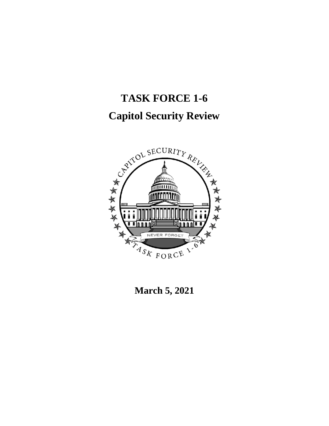# **TASK FORCE 1-6 Capitol Security Review**



**March 5, 2021**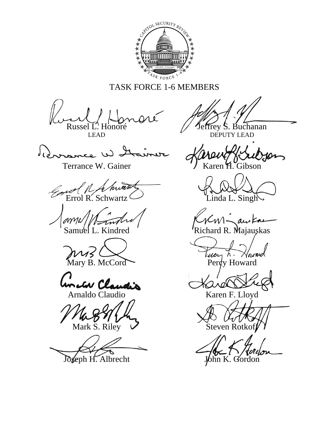

## TASK FORCE 1-6 MEMBERS

Russel LEAD

۔ س د پا

Terrance W. Gainer

Errol R. Schwartz

M Samuel L. Kindred

Mary B. McCord

meter Claudio

Arnaldo Claudio

Mark S. Riley

Joseph H. Albrecht

Jeffrey S. Buchanan

DEPUTY LEAD

Gibson

Linda L. Singh

Richard R. Majauskas

Tuan

Perdy Howard

Karen F. Lloyd

Steven Rotkof

John K. Gordon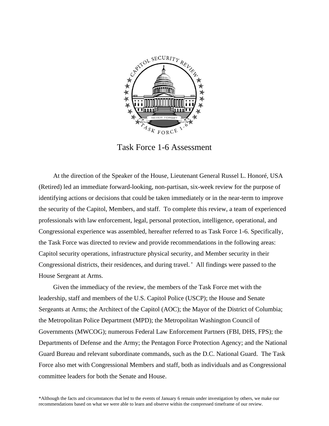

Task Force 1-6 Assessment

 At the direction of the Speaker of the House, Lieutenant General Russel L. Honoré, USA (Retired) led an immediate forward-looking, non-partisan, six-week review for the purpose of identifying actions or decisions that could be taken immediately or in the near-term to improve the security of the Capitol, Members, and staff. To complete this review, a team of experienced professionals with law enforcement, legal, personal protection, intelligence, operational, and Congressional experience was assembled, hereafter referred to as Task Force 1-6. Specifically, the Task Force was directed to review and provide recommendations in the following areas: Capitol security operations, infrastructure physical security, and Member security in their Congressional districts, their residences, and during travel. \* All findings were passed to the House Sergeant at Arms.

Given the immediacy of the review, the members of the Task Force met with the leadership, staff and members of the U.S. Capitol Police (USCP); the House and Senate Sergeants at Arms; the Architect of the Capitol (AOC); the Mayor of the District of Columbia; the Metropolitan Police Department (MPD); the Metropolitan Washington Council of Governments (MWCOG); numerous Federal Law Enforcement Partners (FBI, DHS, FPS); the Departments of Defense and the Army; the Pentagon Force Protection Agency; and the National Guard Bureau and relevant subordinate commands, such as the D.C. National Guard. The Task Force also met with Congressional Members and staff, both as individuals and as Congressional committee leaders for both the Senate and House.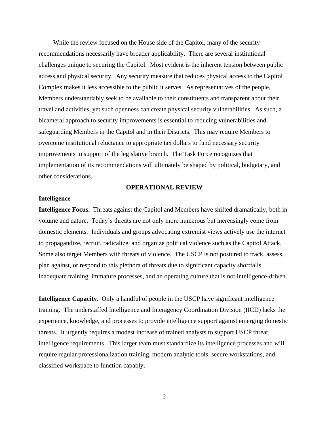While the review focused on the House side of the Capitol, many of the security recommendations necessarily have broader applicability. There are several institutional challenges unique to securing the Capitol. Most evident is the inherent tension between public access and physical security. Any security measure that reduces physical access to the Capitol Complex makes it less accessible to the public it serves. As representatives of the people, Members understandably seek to be available to their constituents and transparent about their travel and activities, yet such openness can create physical security vulnerabilities. As such, a bicameral approach to security improvements is essential to reducing vulnerabilities and safeguarding Members in the Capitol and in their Districts. This may require Members to overcome institutional reluctance to appropriate tax dollars to fund necessary security improvements in support of the legislative branch. The Task Force recognizes that implementation of its recommendations will ultimately be shaped by political, budgetary, and other considerations.

#### **OPERATIONAL REVIEW**

#### **Intelligence**

**Intelligence Focus.** Threats against the Capitol and Members have shifted dramatically, both in volume and nature. Today's threats are not only more numerous but increasingly come from domestic elements. Individuals and groups advocating extremist views actively use the internet to propagandize, recruit, radicalize, and organize political violence such as the Capitol Attack. Some also target Members with threats of violence. The USCP is not postured to track, assess, plan against, or respond to this plethora of threats due to significant capacity shortfalls, inadequate training, immature processes, and an operating culture that is not intelligence-driven.

**Intelligence Capacity.** Only a handful of people in the USCP have significant intelligence training. The understaffed Intelligence and Interagency Coordination Division (IICD) lacks the experience, knowledge, and processes to provide intelligence support against emerging domestic threats. It urgently requires a modest increase of trained analysts to support USCP threat intelligence requirements. This larger team must standardize its intelligence processes and will require regular professionalization training, modern analytic tools, secure workstations, and classified workspace to function capably.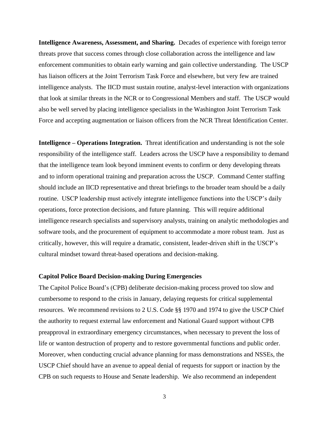**Intelligence Awareness, Assessment, and Sharing.** Decades of experience with foreign terror threats prove that success comes through close collaboration across the intelligence and law enforcement communities to obtain early warning and gain collective understanding. The USCP has liaison officers at the Joint Terrorism Task Force and elsewhere, but very few are trained intelligence analysts. The IICD must sustain routine, analyst-level interaction with organizations that look at similar threats in the NCR or to Congressional Members and staff. The USCP would also be well served by placing intelligence specialists in the Washington Joint Terrorism Task Force and accepting augmentation or liaison officers from the NCR Threat Identification Center.

**Intelligence – Operations Integration.** Threat identification and understanding is not the sole responsibility of the intelligence staff. Leaders across the USCP have a responsibility to demand that the intelligence team look beyond imminent events to confirm or deny developing threats and to inform operational training and preparation across the USCP. Command Center staffing should include an IICD representative and threat briefings to the broader team should be a daily routine. USCP leadership must actively integrate intelligence functions into the USCP's daily operations, force protection decisions, and future planning. This will require additional intelligence research specialists and supervisory analysts, training on analytic methodologies and software tools, and the procurement of equipment to accommodate a more robust team. Just as critically, however, this will require a dramatic, consistent, leader-driven shift in the USCP's cultural mindset toward threat-based operations and decision-making.

#### **Capitol Police Board Decision-making During Emergencies**

The Capitol Police Board's (CPB) deliberate decision-making process proved too slow and cumbersome to respond to the crisis in January, delaying requests for critical supplemental resources. We recommend revisions to 2 U.S. Code §§ 1970 and 1974 to give the USCP Chief the authority to request external law enforcement and National Guard support without CPB preapproval in extraordinary emergency circumstances, when necessary to prevent the loss of life or wanton destruction of property and to restore governmental functions and public order. Moreover, when conducting crucial advance planning for mass demonstrations and NSSEs, the USCP Chief should have an avenue to appeal denial of requests for support or inaction by the CPB on such requests to House and Senate leadership. We also recommend an independent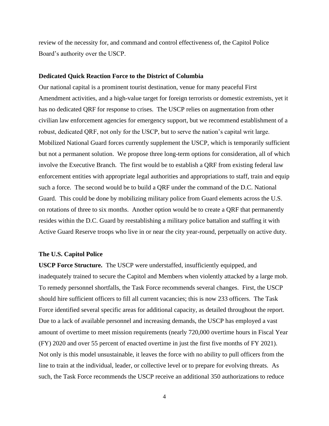review of the necessity for, and command and control effectiveness of, the Capitol Police Board's authority over the USCP.

#### **Dedicated Quick Reaction Force to the District of Columbia**

Our national capital is a prominent tourist destination, venue for many peaceful First Amendment activities, and a high-value target for foreign terrorists or domestic extremists, yet it has no dedicated QRF for response to crises. The USCP relies on augmentation from other civilian law enforcement agencies for emergency support, but we recommend establishment of a robust, dedicated QRF, not only for the USCP, but to serve the nation's capital writ large. Mobilized National Guard forces currently supplement the USCP, which is temporarily sufficient but not a permanent solution. We propose three long-term options for consideration, all of which involve the Executive Branch. The first would be to establish a QRF from existing federal law enforcement entities with appropriate legal authorities and appropriations to staff, train and equip such a force. The second would be to build a QRF under the command of the D.C. National Guard. This could be done by mobilizing military police from Guard elements across the U.S. on rotations of three to six months. Another option would be to create a QRF that permanently resides within the D.C. Guard by reestablishing a military police battalion and staffing it with Active Guard Reserve troops who live in or near the city year-round, perpetually on active duty.

#### **The U.S. Capitol Police**

**USCP Force Structure.** The USCP were understaffed, insufficiently equipped, and inadequately trained to secure the Capitol and Members when violently attacked by a large mob. To remedy personnel shortfalls, the Task Force recommends several changes. First, the USCP should hire sufficient officers to fill all current vacancies; this is now 233 officers. The Task Force identified several specific areas for additional capacity, as detailed throughout the report. Due to a lack of available personnel and increasing demands, the USCP has employed a vast amount of overtime to meet mission requirements (nearly 720,000 overtime hours in Fiscal Year (FY) 2020 and over 55 percent of enacted overtime in just the first five months of FY 2021). Not only is this model unsustainable, it leaves the force with no ability to pull officers from the line to train at the individual, leader, or collective level or to prepare for evolving threats. As such, the Task Force recommends the USCP receive an additional 350 authorizations to reduce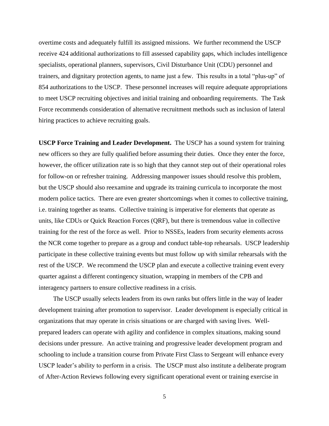overtime costs and adequately fulfill its assigned missions. We further recommend the USCP receive 424 additional authorizations to fill assessed capability gaps, which includes intelligence specialists, operational planners, supervisors, Civil Disturbance Unit (CDU) personnel and trainers, and dignitary protection agents, to name just a few. This results in a total "plus-up" of 854 authorizations to the USCP. These personnel increases will require adequate appropriations to meet USCP recruiting objectives and initial training and onboarding requirements. The Task Force recommends consideration of alternative recruitment methods such as inclusion of lateral hiring practices to achieve recruiting goals.

**USCP Force Training and Leader Development.** The USCP has a sound system for training new officers so they are fully qualified before assuming their duties. Once they enter the force, however, the officer utilization rate is so high that they cannot step out of their operational roles for follow-on or refresher training. Addressing manpower issues should resolve this problem, but the USCP should also reexamine and upgrade its training curricula to incorporate the most modern police tactics. There are even greater shortcomings when it comes to collective training, i.e. training together as teams. Collective training is imperative for elements that operate as units, like CDUs or Quick Reaction Forces (QRF), but there is tremendous value in collective training for the rest of the force as well. Prior to NSSEs, leaders from security elements across the NCR come together to prepare as a group and conduct table-top rehearsals. USCP leadership participate in these collective training events but must follow up with similar rehearsals with the rest of the USCP. We recommend the USCP plan and execute a collective training event every quarter against a different contingency situation, wrapping in members of the CPB and interagency partners to ensure collective readiness in a crisis.

The USCP usually selects leaders from its own ranks but offers little in the way of leader development training after promotion to supervisor. Leader development is especially critical in organizations that may operate in crisis situations or are charged with saving lives. Wellprepared leaders can operate with agility and confidence in complex situations, making sound decisions under pressure. An active training and progressive leader development program and schooling to include a transition course from Private First Class to Sergeant will enhance every USCP leader's ability to perform in a crisis. The USCP must also institute a deliberate program of After-Action Reviews following every significant operational event or training exercise in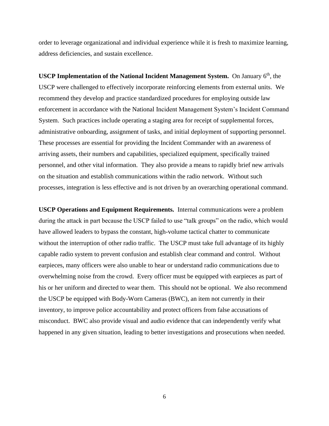order to leverage organizational and individual experience while it is fresh to maximize learning, address deficiencies, and sustain excellence.

**USCP Implementation of the National Incident Management System.** On January 6<sup>th</sup>, the USCP were challenged to effectively incorporate reinforcing elements from external units. We recommend they develop and practice standardized procedures for employing outside law enforcement in accordance with the National Incident Management System's Incident Command System. Such practices include operating a staging area for receipt of supplemental forces, administrative onboarding, assignment of tasks, and initial deployment of supporting personnel. These processes are essential for providing the Incident Commander with an awareness of arriving assets, their numbers and capabilities, specialized equipment, specifically trained personnel, and other vital information. They also provide a means to rapidly brief new arrivals on the situation and establish communications within the radio network. Without such processes, integration is less effective and is not driven by an overarching operational command.

**USCP Operations and Equipment Requirements.** Internal communications were a problem during the attack in part because the USCP failed to use "talk groups" on the radio, which would have allowed leaders to bypass the constant, high-volume tactical chatter to communicate without the interruption of other radio traffic. The USCP must take full advantage of its highly capable radio system to prevent confusion and establish clear command and control. Without earpieces, many officers were also unable to hear or understand radio communications due to overwhelming noise from the crowd. Every officer must be equipped with earpieces as part of his or her uniform and directed to wear them. This should not be optional. We also recommend the USCP be equipped with Body-Worn Cameras (BWC), an item not currently in their inventory, to improve police accountability and protect officers from false accusations of misconduct. BWC also provide visual and audio evidence that can independently verify what happened in any given situation, leading to better investigations and prosecutions when needed.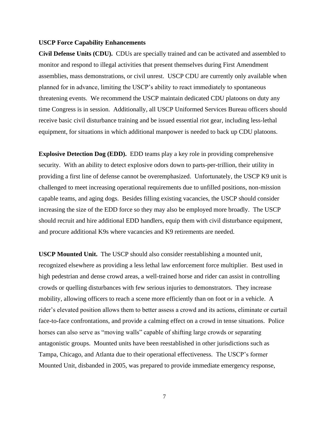#### **USCP Force Capability Enhancements**

**Civil Defense Units (CDU).** CDUs are specially trained and can be activated and assembled to monitor and respond to illegal activities that present themselves during First Amendment assemblies, mass demonstrations, or civil unrest. USCP CDU are currently only available when planned for in advance, limiting the USCP's ability to react immediately to spontaneous threatening events. We recommend the USCP maintain dedicated CDU platoons on duty any time Congress is in session. Additionally, all USCP Uniformed Services Bureau officers should receive basic civil disturbance training and be issued essential riot gear, including less-lethal equipment, for situations in which additional manpower is needed to back up CDU platoons.

**Explosive Detection Dog (EDD).** EDD teams play a key role in providing comprehensive security. With an ability to detect explosive odors down to parts-per-trillion, their utility in providing a first line of defense cannot be overemphasized. Unfortunately, the USCP K9 unit is challenged to meet increasing operational requirements due to unfilled positions, non-mission capable teams, and aging dogs. Besides filling existing vacancies, the USCP should consider increasing the size of the EDD force so they may also be employed more broadly. The USCP should recruit and hire additional EDD handlers, equip them with civil disturbance equipment, and procure additional K9s where vacancies and K9 retirements are needed.

**USCP Mounted Unit.** The USCP should also consider reestablishing a mounted unit, recognized elsewhere as providing a less lethal law enforcement force multiplier. Best used in high pedestrian and dense crowd areas, a well-trained horse and rider can assist in controlling crowds or quelling disturbances with few serious injuries to demonstrators. They increase mobility, allowing officers to reach a scene more efficiently than on foot or in a vehicle. A rider's elevated position allows them to better assess a crowd and its actions, eliminate or curtail face-to-face confrontations, and provide a calming effect on a crowd in tense situations. Police horses can also serve as "moving walls" capable of shifting large crowds or separating antagonistic groups. Mounted units have been reestablished in other jurisdictions such as Tampa, Chicago, and Atlanta due to their operational effectiveness. The USCP's former Mounted Unit, disbanded in 2005, was prepared to provide immediate emergency response,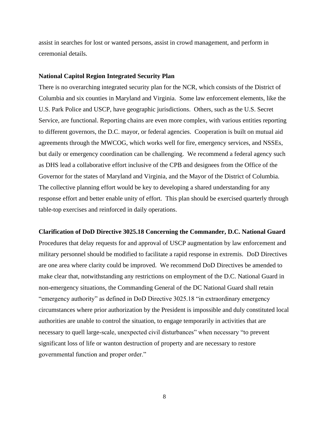assist in searches for lost or wanted persons, assist in crowd management, and perform in ceremonial details.

#### **National Capitol Region Integrated Security Plan**

There is no overarching integrated security plan for the NCR, which consists of the District of Columbia and six counties in Maryland and Virginia. Some law enforcement elements, like the U.S. Park Police and USCP, have geographic jurisdictions. Others, such as the U.S. Secret Service, are functional. Reporting chains are even more complex, with various entities reporting to different governors, the D.C. mayor, or federal agencies. Cooperation is built on mutual aid agreements through the MWCOG, which works well for fire, emergency services, and NSSEs, but daily or emergency coordination can be challenging. We recommend a federal agency such as DHS lead a collaborative effort inclusive of the CPB and designees from the Office of the Governor for the states of Maryland and Virginia, and the Mayor of the District of Columbia. The collective planning effort would be key to developing a shared understanding for any response effort and better enable unity of effort. This plan should be exercised quarterly through table-top exercises and reinforced in daily operations.

#### **Clarification of DoD Directive 3025.18 Concerning the Commander, D.C. National Guard**

Procedures that delay requests for and approval of USCP augmentation by law enforcement and military personnel should be modified to facilitate a rapid response in extremis. DoD Directives are one area where clarity could be improved. We recommend DoD Directives be amended to make clear that, notwithstanding any restrictions on employment of the D.C. National Guard in non-emergency situations, the Commanding General of the DC National Guard shall retain "emergency authority" as defined in DoD Directive 3025.18 "in extraordinary emergency circumstances where prior authorization by the President is impossible and duly constituted local authorities are unable to control the situation, to engage temporarily in activities that are necessary to quell large-scale, unexpected civil disturbances" when necessary "to prevent significant loss of life or wanton destruction of property and are necessary to restore governmental function and proper order."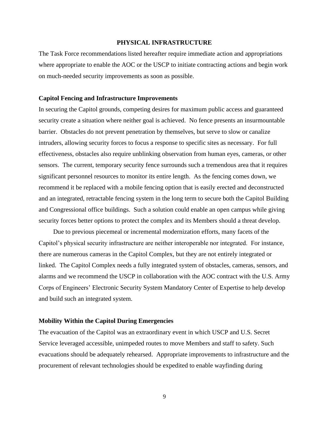#### **PHYSICAL INFRASTRUCTURE**

The Task Force recommendations listed hereafter require immediate action and appropriations where appropriate to enable the AOC or the USCP to initiate contracting actions and begin work on much-needed security improvements as soon as possible.

#### **Capitol Fencing and Infrastructure Improvements**

In securing the Capitol grounds, competing desires for maximum public access and guaranteed security create a situation where neither goal is achieved. No fence presents an insurmountable barrier. Obstacles do not prevent penetration by themselves, but serve to slow or canalize intruders, allowing security forces to focus a response to specific sites as necessary. For full effectiveness, obstacles also require unblinking observation from human eyes, cameras, or other sensors. The current, temporary security fence surrounds such a tremendous area that it requires significant personnel resources to monitor its entire length. As the fencing comes down, we recommend it be replaced with a mobile fencing option that is easily erected and deconstructed and an integrated, retractable fencing system in the long term to secure both the Capitol Building and Congressional office buildings. Such a solution could enable an open campus while giving security forces better options to protect the complex and its Members should a threat develop.

Due to previous piecemeal or incremental modernization efforts, many facets of the Capitol's physical security infrastructure are neither interoperable nor integrated. For instance, there are numerous cameras in the Capitol Complex, but they are not entirely integrated or linked. The Capitol Complex needs a fully integrated system of obstacles, cameras, sensors, and alarms and we recommend the USCP in collaboration with the AOC contract with the U.S. Army Corps of Engineers' Electronic Security System Mandatory Center of Expertise to help develop and build such an integrated system.

#### **Mobility Within the Capitol During Emergencies**

The evacuation of the Capitol was an extraordinary event in which USCP and U.S. Secret Service leveraged accessible, unimpeded routes to move Members and staff to safety. Such evacuations should be adequately rehearsed. Appropriate improvements to infrastructure and the procurement of relevant technologies should be expedited to enable wayfinding during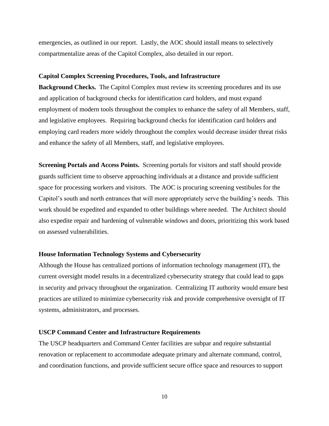emergencies, as outlined in our report. Lastly, the AOC should install means to selectively compartmentalize areas of the Capitol Complex, also detailed in our report.

#### **Capitol Complex Screening Procedures, Tools, and Infrastructure**

**Background Checks.** The Capitol Complex must review its screening procedures and its use and application of background checks for identification card holders, and must expand employment of modern tools throughout the complex to enhance the safety of all Members, staff, and legislative employees. Requiring background checks for identification card holders and employing card readers more widely throughout the complex would decrease insider threat risks and enhance the safety of all Members, staff, and legislative employees.

**Screening Portals and Access Points.** Screening portals for visitors and staff should provide guards sufficient time to observe approaching individuals at a distance and provide sufficient space for processing workers and visitors. The AOC is procuring screening vestibules for the Capitol's south and north entrances that will more appropriately serve the building's needs. This work should be expedited and expanded to other buildings where needed. The Architect should also expedite repair and hardening of vulnerable windows and doors, prioritizing this work based on assessed vulnerabilities.

#### **House Information Technology Systems and Cybersecurity**

Although the House has centralized portions of information technology management (IT), the current oversight model results in a decentralized cybersecurity strategy that could lead to gaps in security and privacy throughout the organization. Centralizing IT authority would ensure best practices are utilized to minimize cybersecurity risk and provide comprehensive oversight of IT systems, administrators, and processes.

#### **USCP Command Center and Infrastructure Requirements**

The USCP headquarters and Command Center facilities are subpar and require substantial renovation or replacement to accommodate adequate primary and alternate command, control, and coordination functions, and provide sufficient secure office space and resources to support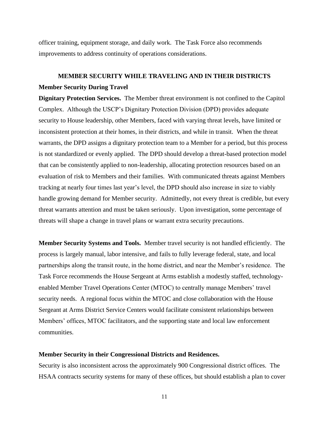officer training, equipment storage, and daily work. The Task Force also recommends improvements to address continuity of operations considerations.

### **MEMBER SECURITY WHILE TRAVELING AND IN THEIR DISTRICTS Member Security During Travel**

**Dignitary Protection Services.** The Member threat environment is not confined to the Capitol Complex. Although the USCP's Dignitary Protection Division (DPD) provides adequate security to House leadership, other Members, faced with varying threat levels, have limited or inconsistent protection at their homes, in their districts, and while in transit. When the threat warrants, the DPD assigns a dignitary protection team to a Member for a period, but this process is not standardized or evenly applied. The DPD should develop a threat-based protection model that can be consistently applied to non-leadership, allocating protection resources based on an evaluation of risk to Members and their families. With communicated threats against Members tracking at nearly four times last year's level, the DPD should also increase in size to viably handle growing demand for Member security. Admittedly, not every threat is credible, but every threat warrants attention and must be taken seriously. Upon investigation, some percentage of threats will shape a change in travel plans or warrant extra security precautions.

**Member Security Systems and Tools.** Member travel security is not handled efficiently. The process is largely manual, labor intensive, and fails to fully leverage federal, state, and local partnerships along the transit route, in the home district, and near the Member's residence. The Task Force recommends the House Sergeant at Arms establish a modestly staffed, technologyenabled Member Travel Operations Center (MTOC) to centrally manage Members' travel security needs. A regional focus within the MTOC and close collaboration with the House Sergeant at Arms District Service Centers would facilitate consistent relationships between Members' offices, MTOC facilitators, and the supporting state and local law enforcement communities.

#### **Member Security in their Congressional Districts and Residences.**

Security is also inconsistent across the approximately 900 Congressional district offices. The HSAA contracts security systems for many of these offices, but should establish a plan to cover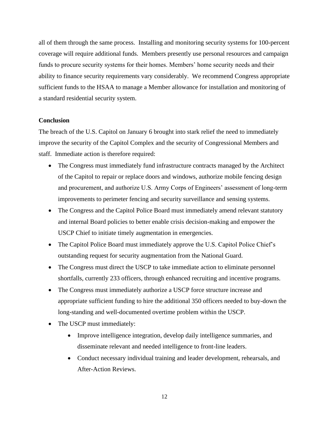all of them through the same process. Installing and monitoring security systems for 100-percent coverage will require additional funds. Members presently use personal resources and campaign funds to procure security systems for their homes. Members' home security needs and their ability to finance security requirements vary considerably. We recommend Congress appropriate sufficient funds to the HSAA to manage a Member allowance for installation and monitoring of a standard residential security system.

#### **Conclusion**

The breach of the U.S. Capitol on January 6 brought into stark relief the need to immediately improve the security of the Capitol Complex and the security of Congressional Members and staff. Immediate action is therefore required:

- The Congress must immediately fund infrastructure contracts managed by the Architect of the Capitol to repair or replace doors and windows, authorize mobile fencing design and procurement, and authorize U.S. Army Corps of Engineers' assessment of long-term improvements to perimeter fencing and security surveillance and sensing systems.
- The Congress and the Capitol Police Board must immediately amend relevant statutory and internal Board policies to better enable crisis decision-making and empower the USCP Chief to initiate timely augmentation in emergencies.
- The Capitol Police Board must immediately approve the U.S. Capitol Police Chief's outstanding request for security augmentation from the National Guard.
- The Congress must direct the USCP to take immediate action to eliminate personnel shortfalls, currently 233 officers, through enhanced recruiting and incentive programs.
- The Congress must immediately authorize a USCP force structure increase and appropriate sufficient funding to hire the additional 350 officers needed to buy-down the long-standing and well-documented overtime problem within the USCP.
- The USCP must immediately:
	- Improve intelligence integration, develop daily intelligence summaries, and disseminate relevant and needed intelligence to front-line leaders.
	- Conduct necessary individual training and leader development, rehearsals, and After-Action Reviews.